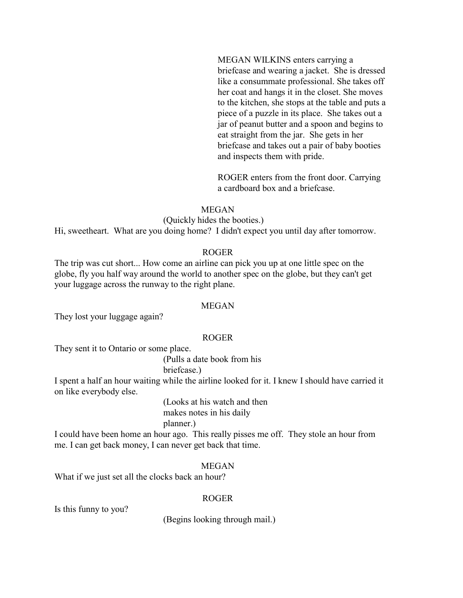MEGAN WILKINS enters carrying a briefcase and wearing a jacket. She is dressed like a consummate professional. She takes off her coat and hangs it in the closet. She moves to the kitchen, she stops at the table and puts a piece of a puzzle in its place. She takes out a jar of peanut butter and a spoon and begins to eat straight from the jar. She gets in her briefcase and takes out a pair of baby booties and inspects them with pride.

ROGER enters from the front door. Carrying a cardboard box and a briefcase.

#### MEGAN

### (Quickly hides the booties.)

Hi, sweetheart. What are you doing home? I didn't expect you until day after tomorrow.

#### ROGER

The trip was cut short... How come an airline can pick you up at one little spec on the globe, fly you half way around the world to another spec on the globe, but they can't get your luggage across the runway to the right plane.

#### MEGAN

They lost your luggage again?

#### ROGER

They sent it to Ontario or some place.

(Pulls a date book from his briefcase.)

I spent a half an hour waiting while the airline looked for it. I knew I should have carried it on like everybody else.

> (Looks at his watch and then makes notes in his daily

# planner.)

I could have been home an hour ago. This really pisses me off. They stole an hour from me. I can get back money, I can never get back that time.

#### MEGAN

What if we just set all the clocks back an hour?

### ROGER

Is this funny to you?

(Begins looking through mail.)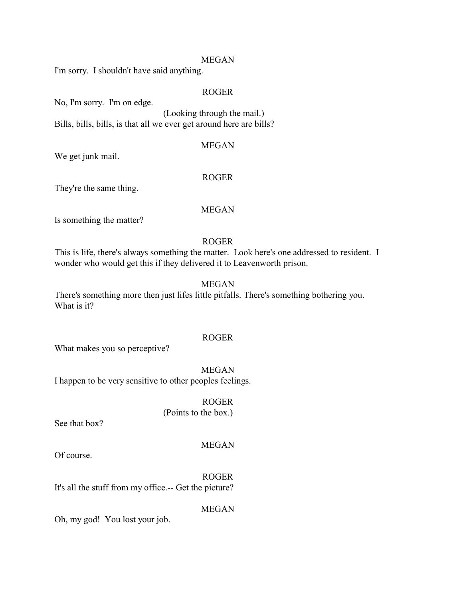#### MEGAN

I'm sorry. I shouldn't have said anything.

### ROGER

No, I'm sorry. I'm on edge.

(Looking through the mail.) Bills, bills, bills, is that all we ever get around here are bills?

### MEGAN

We get junk mail.

#### ROGER

They're the same thing.

### MEGAN

Is something the matter?

### ROGER

This is life, there's always something the matter. Look here's one addressed to resident. I wonder who would get this if they delivered it to Leavenworth prison.

### MEGAN

There's something more then just lifes little pitfalls. There's something bothering you. What is it?

# ROGER

What makes you so perceptive?

MEGAN I happen to be very sensitive to other peoples feelings.

> ROGER (Points to the box.)

See that box?

### MEGAN

Of course.

ROGER It's all the stuff from my office.-- Get the picture?

MEGAN

Oh, my god! You lost your job.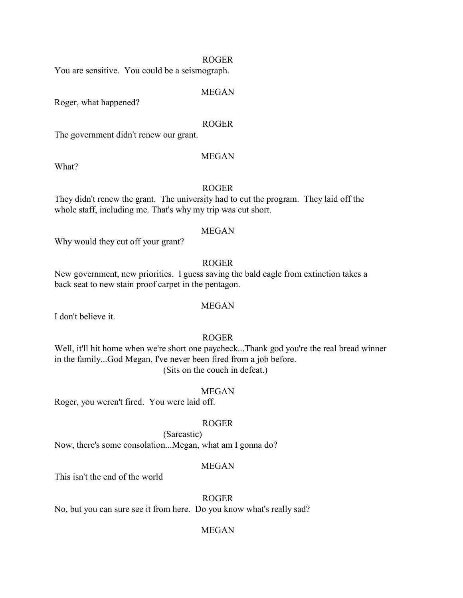### ROGER

You are sensitive. You could be a seismograph.

#### MEGAN

Roger, what happened?

What?

#### ROGER

The government didn't renew our grant.

#### MEGAN

#### ROGER

They didn't renew the grant. The university had to cut the program. They laid off the whole staff, including me. That's why my trip was cut short.

#### MEGAN

Why would they cut off your grant?

### ROGER

New government, new priorities. I guess saving the bald eagle from extinction takes a back seat to new stain proof carpet in the pentagon.

I don't believe it.

# MEGAN

# ROGER

Well, it'll hit home when we're short one paycheck...Thank god you're the real bread winner in the family...God Megan, I've never been fired from a job before. (Sits on the couch in defeat.)

#### MEGAN

Roger, you weren't fired. You were laid off.

### ROGER

(Sarcastic) Now, there's some consolation...Megan, what am I gonna do?

### MEGAN

This isn't the end of the world

ROGER

No, but you can sure see it from here. Do you know what's really sad?

### MEGAN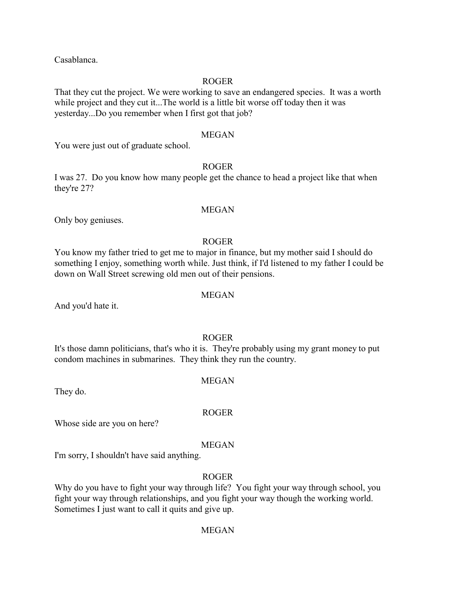Casablanca.

### ROGER

That they cut the project. We were working to save an endangered species. It was a worth while project and they cut it...The world is a little bit worse off today then it was yesterday...Do you remember when I first got that job?

### MEGAN

You were just out of graduate school.

### ROGER

I was 27. Do you know how many people get the chance to head a project like that when they're 27?

#### MEGAN

Only boy geniuses.

### ROGER

You know my father tried to get me to major in finance, but my mother said I should do something I enjoy, something worth while. Just think, if I'd listened to my father I could be down on Wall Street screwing old men out of their pensions.

#### MEGAN

And you'd hate it.

### ROGER

It's those damn politicians, that's who it is. They're probably using my grant money to put condom machines in submarines. They think they run the country.

#### MEGAN

ROGER

They do.

Whose side are you on here?

#### MEGAN

I'm sorry, I shouldn't have said anything.

#### ROGER

Why do you have to fight your way through life? You fight your way through school, you fight your way through relationships, and you fight your way though the working world. Sometimes I just want to call it quits and give up.

#### MEGAN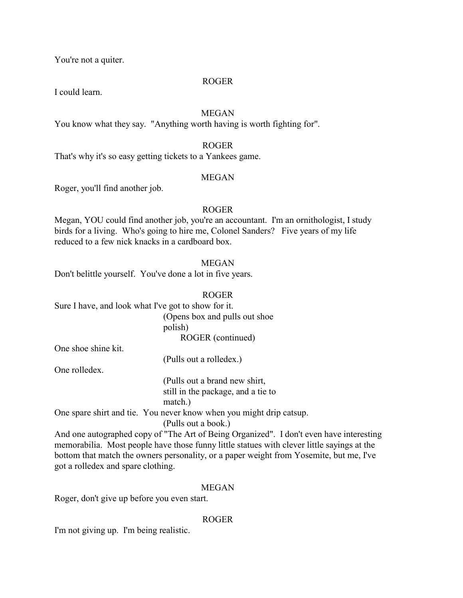You're not a quiter.

### ROGER

I could learn.

# MEGAN

You know what they say. "Anything worth having is worth fighting for".

### ROGER

That's why it's so easy getting tickets to a Yankees game.

### MEGAN

Roger, you'll find another job.

### ROGER

Megan, YOU could find another job, you're an accountant. I'm an ornithologist, I study birds for a living. Who's going to hire me, Colonel Sanders? Five years of my life reduced to a few nick knacks in a cardboard box.

### MEGAN

Don't belittle yourself. You've done a lot in five years.

### ROGER

Sure I have, and look what I've got to show for it.

(Opens box and pulls out shoe polish) ROGER (continued)

One shoe shine kit.

(Pulls out a rolledex.)

One rolledex.

(Pulls out a brand new shirt, still in the package, and a tie to

match.)

One spare shirt and tie. You never know when you might drip catsup.

(Pulls out a book.)

And one autographed copy of "The Art of Being Organized". I don't even have interesting memorabilia. Most people have those funny little statues with clever little sayings at the bottom that match the owners personality, or a paper weight from Yosemite, but me, I've got a rolledex and spare clothing.

### MEGAN

Roger, don't give up before you even start.

### ROGER

I'm not giving up. I'm being realistic.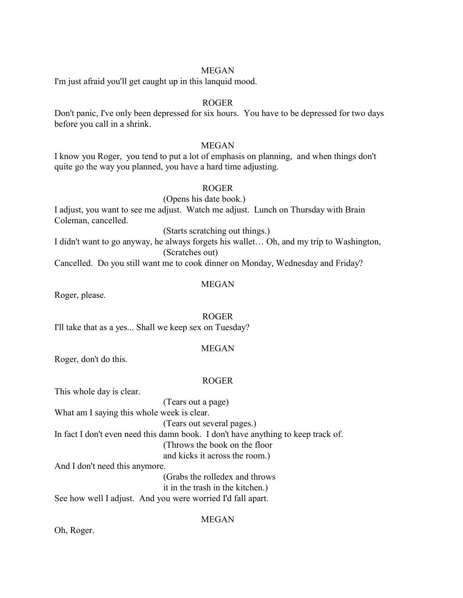### MEGAN

I'm just afraid you'll get caught up in this lanquid mood.

### ROGER

Don't panic, I've only been depressed for six hours. You have to be depressed for two days before you call in a shrink.

### MEGAN

I know you Roger, you tend to put a lot of emphasis on planning, and when things don't quite go the way you planned, you have a hard time adjusting.

# ROGER

(Opens his date book.) I adjust, you want to see me adjust. Watch me adjust. Lunch on Thursday with Brain Coleman, cancelled.

(Starts scratching out things.)

I didn't want to go anyway, he always forgets his wallet… Oh, and my trip to Washington, (Scratches out)

Cancelled. Do you still want me to cook dinner on Monday, Wednesday and Friday?

#### MEGAN

Roger, please.

ROGER I'll take that as a yes... Shall we keep sex on Tuesday?

#### MEGAN

Roger, don't do this.

#### ROGER

This whole day is clear.

(Tears out a page) What am I saying this whole week is clear. (Tears out several pages.) In fact I don't even need this damn book. I don't have anything to keep track of. (Throws the book on the floor and kicks it across the room.) And I don't need this anymore.

(Grabs the rolledex and throws

it in the trash in the kitchen.)

See how well I adjust. And you were worried I'd fall apart.

MEGAN

Oh, Roger.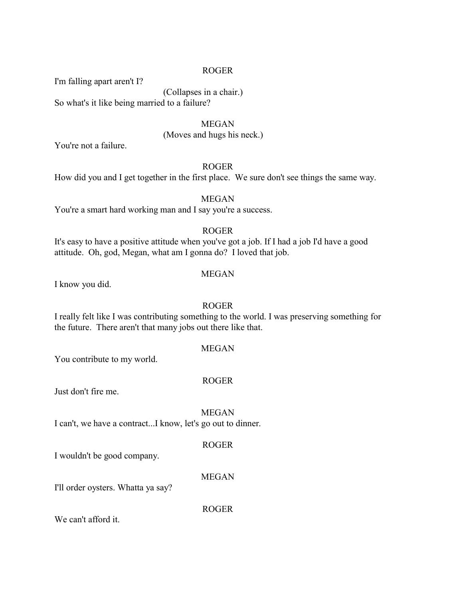### ROGER

I'm falling apart aren't I?

(Collapses in a chair.)

So what's it like being married to a failure?

MEGAN (Moves and hugs his neck.)

You're not a failure.

# ROGER

How did you and I get together in the first place. We sure don't see things the same way.

MEGAN

You're a smart hard working man and I say you're a success.

### ROGER

It's easy to have a positive attitude when you've got a job. If I had a job I'd have a good attitude. Oh, god, Megan, what am I gonna do? I loved that job.

### MEGAN

I know you did.

#### ROGER

I really felt like I was contributing something to the world. I was preserving something for the future. There aren't that many jobs out there like that.

### MEGAN

You contribute to my world.

#### ROGER

Just don't fire me.

MEGAN I can't, we have a contract...I know, let's go out to dinner.

### ROGER

I wouldn't be good company.

#### MEGAN

I'll order oysters. Whatta ya say?

ROGER

We can't afford it.